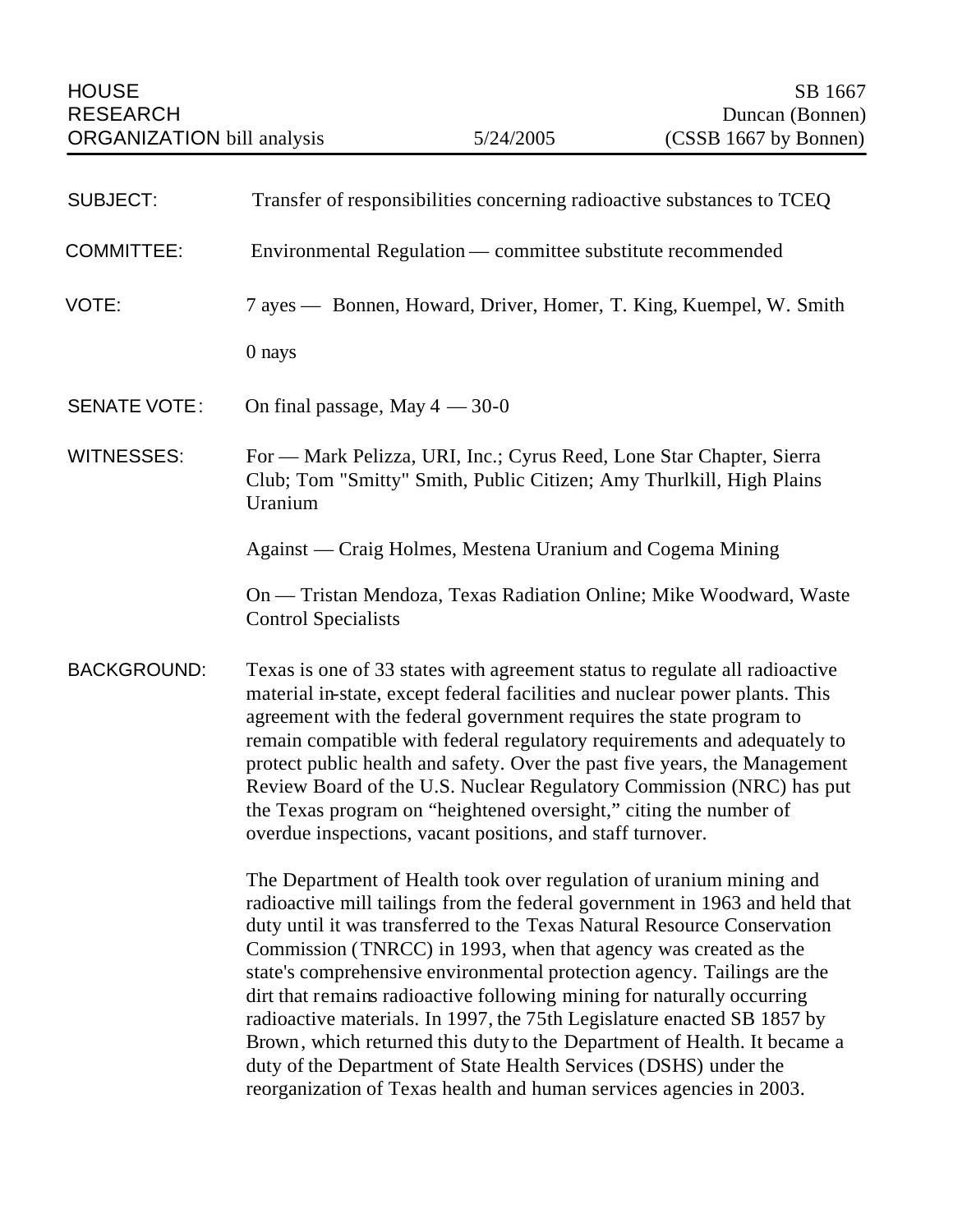| <b>SUBJECT:</b>     | Transfer of responsibilities concerning radioactive substances to TCEQ                                                                                                                                                                                                                                                                                                                                                                                                                                                                                                                                                                                                                                                                                   |
|---------------------|----------------------------------------------------------------------------------------------------------------------------------------------------------------------------------------------------------------------------------------------------------------------------------------------------------------------------------------------------------------------------------------------------------------------------------------------------------------------------------------------------------------------------------------------------------------------------------------------------------------------------------------------------------------------------------------------------------------------------------------------------------|
| <b>COMMITTEE:</b>   | Environmental Regulation — committee substitute recommended                                                                                                                                                                                                                                                                                                                                                                                                                                                                                                                                                                                                                                                                                              |
| VOTE:               | 7 ayes — Bonnen, Howard, Driver, Homer, T. King, Kuempel, W. Smith                                                                                                                                                                                                                                                                                                                                                                                                                                                                                                                                                                                                                                                                                       |
|                     | 0 nays                                                                                                                                                                                                                                                                                                                                                                                                                                                                                                                                                                                                                                                                                                                                                   |
| <b>SENATE VOTE:</b> | On final passage, May $4 - 30 - 0$                                                                                                                                                                                                                                                                                                                                                                                                                                                                                                                                                                                                                                                                                                                       |
| <b>WITNESSES:</b>   | For - Mark Pelizza, URI, Inc.; Cyrus Reed, Lone Star Chapter, Sierra<br>Club; Tom "Smitty" Smith, Public Citizen; Amy Thurlkill, High Plains<br>Uranium                                                                                                                                                                                                                                                                                                                                                                                                                                                                                                                                                                                                  |
|                     | Against — Craig Holmes, Mestena Uranium and Cogema Mining                                                                                                                                                                                                                                                                                                                                                                                                                                                                                                                                                                                                                                                                                                |
|                     | On — Tristan Mendoza, Texas Radiation Online; Mike Woodward, Waste<br><b>Control Specialists</b>                                                                                                                                                                                                                                                                                                                                                                                                                                                                                                                                                                                                                                                         |
| <b>BACKGROUND:</b>  | Texas is one of 33 states with agreement status to regulate all radioactive<br>material in-state, except federal facilities and nuclear power plants. This<br>agreement with the federal government requires the state program to<br>remain compatible with federal regulatory requirements and adequately to<br>protect public health and safety. Over the past five years, the Management<br>Review Board of the U.S. Nuclear Regulatory Commission (NRC) has put<br>the Texas program on "heightened oversight," citing the number of<br>overdue inspections, vacant positions, and staff turnover.                                                                                                                                                   |
|                     | The Department of Health took over regulation of uranium mining and<br>radioactive mill tailings from the federal government in 1963 and held that<br>duty until it was transferred to the Texas Natural Resource Conservation<br>Commission (TNRCC) in 1993, when that agency was created as the<br>state's comprehensive environmental protection agency. Tailings are the<br>dirt that remains radioactive following mining for naturally occurring<br>radioactive materials. In 1997, the 75th Legislature enacted SB 1857 by<br>Brown, which returned this duty to the Department of Health. It became a<br>duty of the Department of State Health Services (DSHS) under the<br>reorganization of Texas health and human services agencies in 2003. |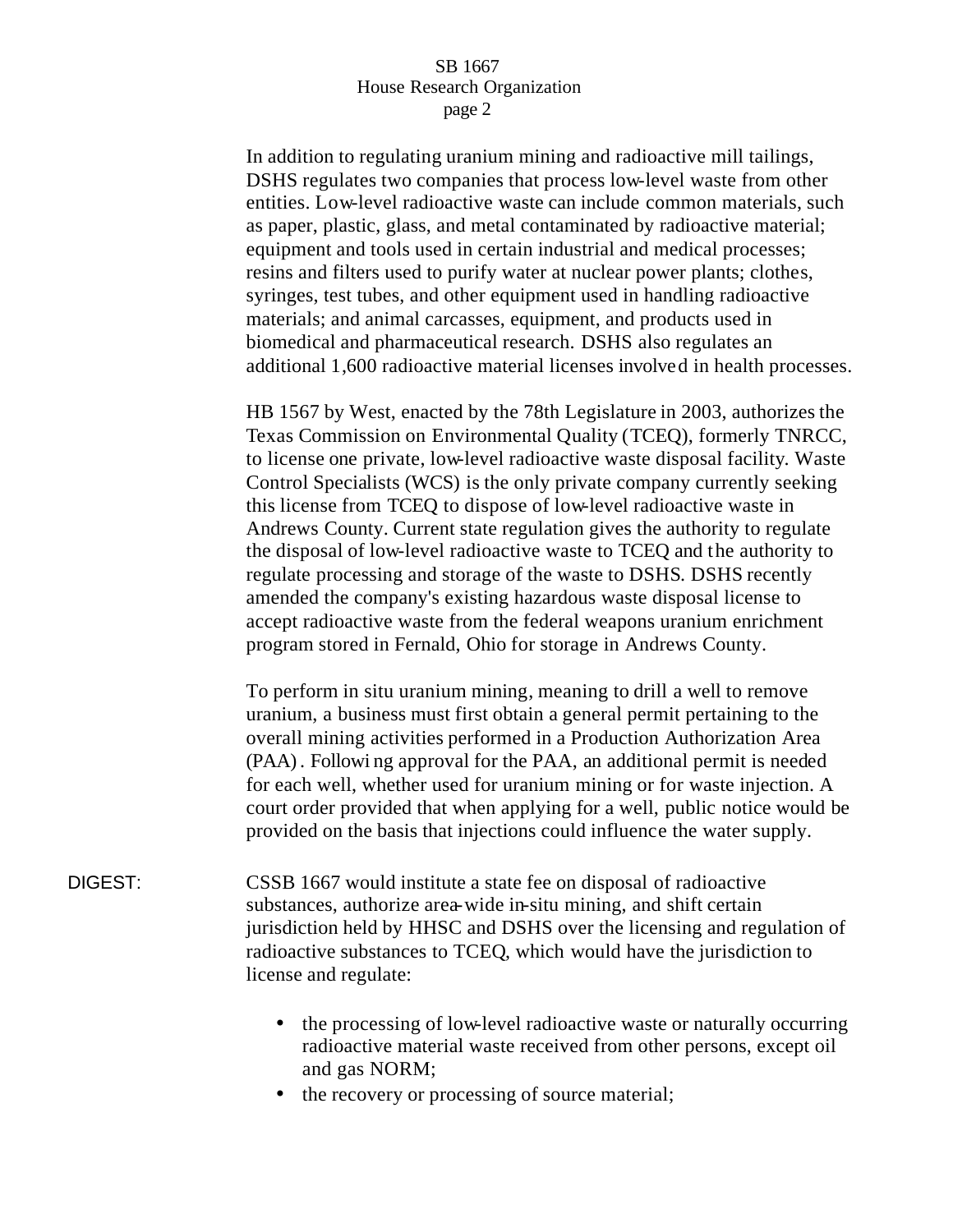In addition to regulating uranium mining and radioactive mill tailings, DSHS regulates two companies that process low-level waste from other entities. Low-level radioactive waste can include common materials, such as paper, plastic, glass, and metal contaminated by radioactive material; equipment and tools used in certain industrial and medical processes; resins and filters used to purify water at nuclear power plants; clothes, syringes, test tubes, and other equipment used in handling radioactive materials; and animal carcasses, equipment, and products used in biomedical and pharmaceutical research. DSHS also regulates an additional 1,600 radioactive material licenses involved in health processes.

HB 1567 by West, enacted by the 78th Legislature in 2003, authorizes the Texas Commission on Environmental Quality (TCEQ), formerly TNRCC, to license one private, low-level radioactive waste disposal facility. Waste Control Specialists (WCS) is the only private company currently seeking this license from TCEQ to dispose of low-level radioactive waste in Andrews County. Current state regulation gives the authority to regulate the disposal of low-level radioactive waste to TCEQ and the authority to regulate processing and storage of the waste to DSHS. DSHS recently amended the company's existing hazardous waste disposal license to accept radioactive waste from the federal weapons uranium enrichment program stored in Fernald, Ohio for storage in Andrews County.

To perform in situ uranium mining, meaning to drill a well to remove uranium, a business must first obtain a general permit pertaining to the overall mining activities performed in a Production Authorization Area (PAA). Followi ng approval for the PAA, an additional permit is needed for each well, whether used for uranium mining or for waste injection. A court order provided that when applying for a well, public notice would be provided on the basis that injections could influence the water supply.

- DIGEST: CSSB 1667 would institute a state fee on disposal of radioactive substances, authorize area-wide in-situ mining, and shift certain jurisdiction held by HHSC and DSHS over the licensing and regulation of radioactive substances to TCEQ, which would have the jurisdiction to license and regulate:
	- the processing of low-level radioactive waste or naturally occurring radioactive material waste received from other persons, except oil and gas NORM;
	- the recovery or processing of source material;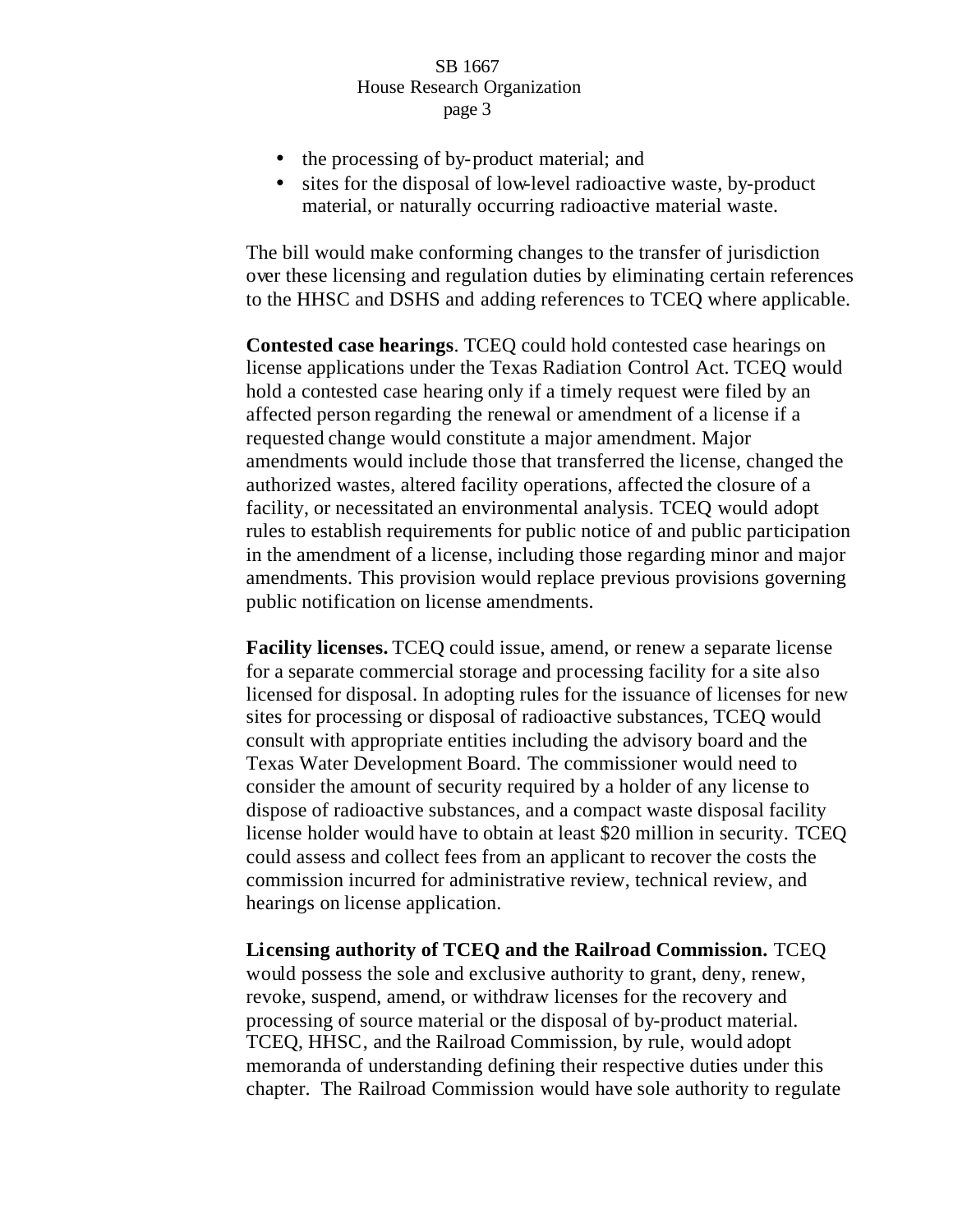- the processing of by-product material; and
- sites for the disposal of low-level radioactive waste, by-product material, or naturally occurring radioactive material waste.

The bill would make conforming changes to the transfer of jurisdiction over these licensing and regulation duties by eliminating certain references to the HHSC and DSHS and adding references to TCEQ where applicable.

**Contested case hearings**. TCEQ could hold contested case hearings on license applications under the Texas Radiation Control Act. TCEQ would hold a contested case hearing only if a timely request were filed by an affected person regarding the renewal or amendment of a license if a requested change would constitute a major amendment. Major amendments would include those that transferred the license, changed the authorized wastes, altered facility operations, affected the closure of a facility, or necessitated an environmental analysis. TCEQ would adopt rules to establish requirements for public notice of and public participation in the amendment of a license, including those regarding minor and major amendments. This provision would replace previous provisions governing public notification on license amendments.

**Facility licenses.** TCEQ could issue, amend, or renew a separate license for a separate commercial storage and processing facility for a site also licensed for disposal. In adopting rules for the issuance of licenses for new sites for processing or disposal of radioactive substances, TCEQ would consult with appropriate entities including the advisory board and the Texas Water Development Board. The commissioner would need to consider the amount of security required by a holder of any license to dispose of radioactive substances, and a compact waste disposal facility license holder would have to obtain at least \$20 million in security. TCEQ could assess and collect fees from an applicant to recover the costs the commission incurred for administrative review, technical review, and hearings on license application.

**Licensing authority of TCEQ and the Railroad Commission.** TCEQ would possess the sole and exclusive authority to grant, deny, renew, revoke, suspend, amend, or withdraw licenses for the recovery and processing of source material or the disposal of by-product material. TCEQ, HHSC, and the Railroad Commission, by rule, would adopt memoranda of understanding defining their respective duties under this chapter. The Railroad Commission would have sole authority to regulate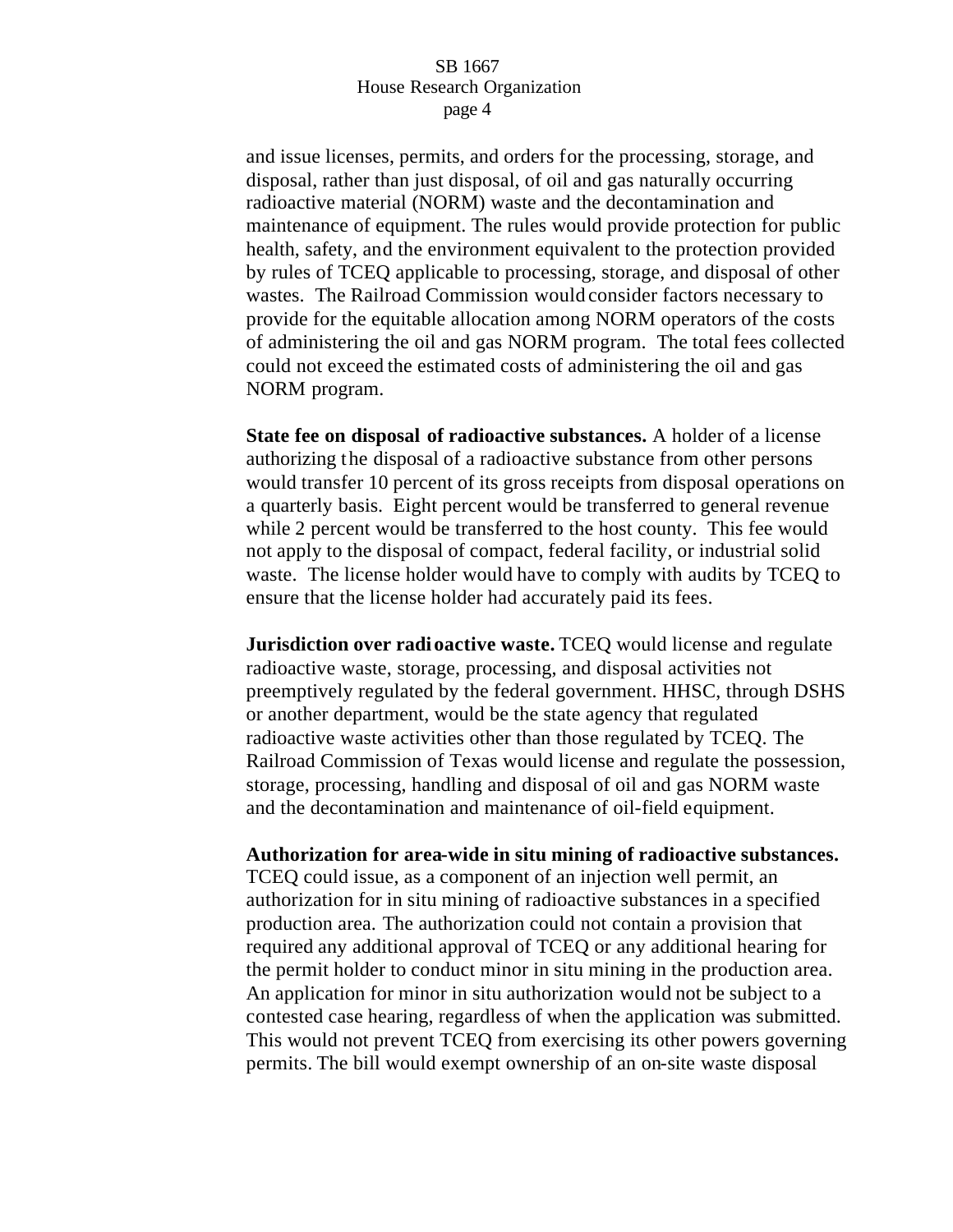and issue licenses, permits, and orders for the processing, storage, and disposal, rather than just disposal, of oil and gas naturally occurring radioactive material (NORM) waste and the decontamination and maintenance of equipment. The rules would provide protection for public health, safety, and the environment equivalent to the protection provided by rules of TCEQ applicable to processing, storage, and disposal of other wastes. The Railroad Commission would consider factors necessary to provide for the equitable allocation among NORM operators of the costs of administering the oil and gas NORM program. The total fees collected could not exceed the estimated costs of administering the oil and gas NORM program.

**State fee on disposal of radioactive substances.** A holder of a license authorizing the disposal of a radioactive substance from other persons would transfer 10 percent of its gross receipts from disposal operations on a quarterly basis. Eight percent would be transferred to general revenue while 2 percent would be transferred to the host county. This fee would not apply to the disposal of compact, federal facility, or industrial solid waste. The license holder would have to comply with audits by TCEQ to ensure that the license holder had accurately paid its fees.

**Jurisdiction over radioactive waste.** TCEQ would license and regulate radioactive waste, storage, processing, and disposal activities not preemptively regulated by the federal government. HHSC, through DSHS or another department, would be the state agency that regulated radioactive waste activities other than those regulated by TCEQ. The Railroad Commission of Texas would license and regulate the possession, storage, processing, handling and disposal of oil and gas NORM waste and the decontamination and maintenance of oil-field equipment.

**Authorization for area-wide in situ mining of radioactive substances.**  TCEQ could issue, as a component of an injection well permit, an authorization for in situ mining of radioactive substances in a specified production area. The authorization could not contain a provision that required any additional approval of TCEQ or any additional hearing for the permit holder to conduct minor in situ mining in the production area. An application for minor in situ authorization would not be subject to a contested case hearing, regardless of when the application was submitted. This would not prevent TCEQ from exercising its other powers governing

permits. The bill would exempt ownership of an on-site waste disposal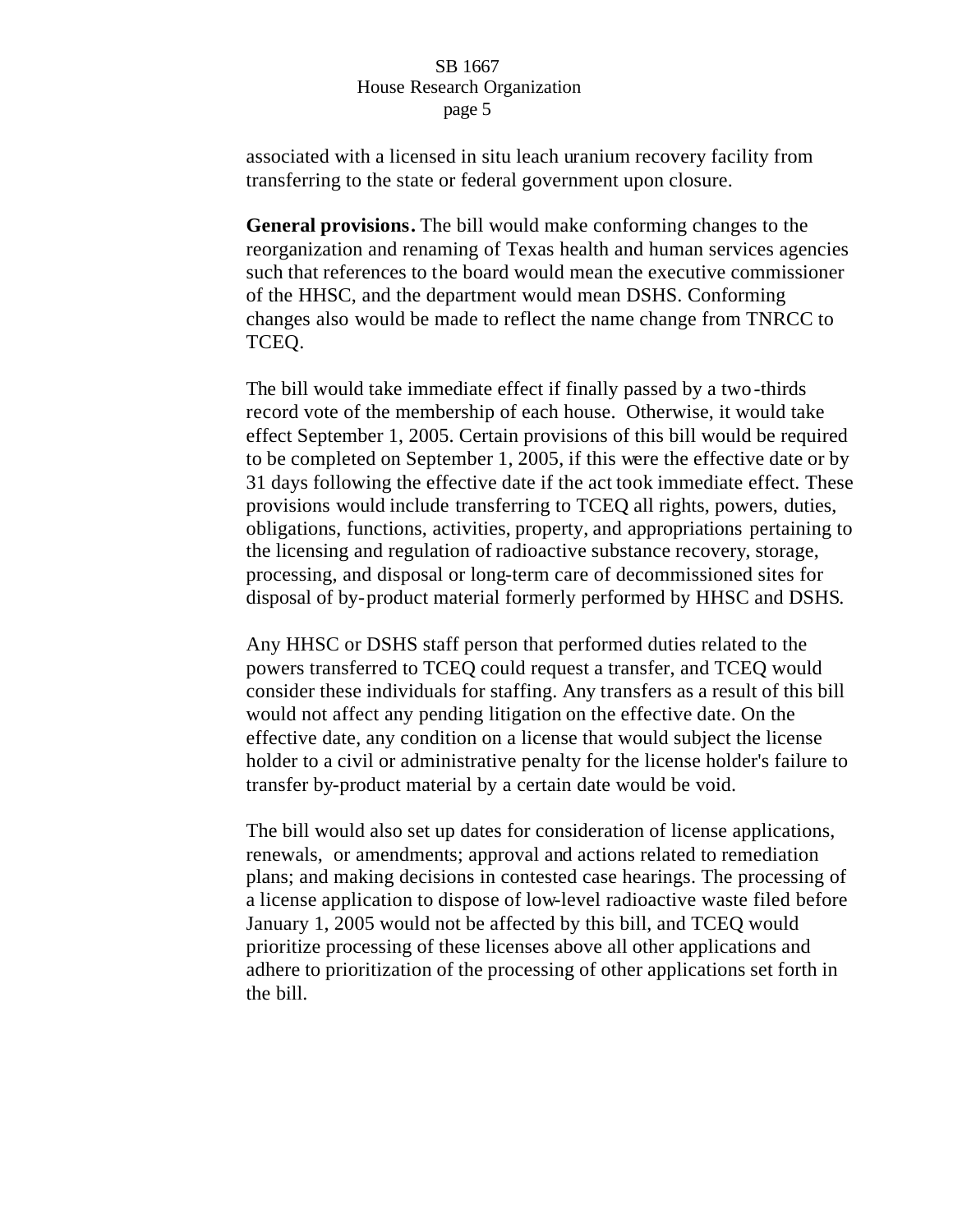associated with a licensed in situ leach uranium recovery facility from transferring to the state or federal government upon closure.

**General provisions.** The bill would make conforming changes to the reorganization and renaming of Texas health and human services agencies such that references to the board would mean the executive commissioner of the HHSC, and the department would mean DSHS. Conforming changes also would be made to reflect the name change from TNRCC to TCEQ.

The bill would take immediate effect if finally passed by a two-thirds record vote of the membership of each house. Otherwise, it would take effect September 1, 2005. Certain provisions of this bill would be required to be completed on September 1, 2005, if this were the effective date or by 31 days following the effective date if the act took immediate effect. These provisions would include transferring to TCEQ all rights, powers, duties, obligations, functions, activities, property, and appropriations pertaining to the licensing and regulation of radioactive substance recovery, storage, processing, and disposal or long-term care of decommissioned sites for disposal of by-product material formerly performed by HHSC and DSHS.

Any HHSC or DSHS staff person that performed duties related to the powers transferred to TCEQ could request a transfer, and TCEQ would consider these individuals for staffing. Any transfers as a result of this bill would not affect any pending litigation on the effective date. On the effective date, any condition on a license that would subject the license holder to a civil or administrative penalty for the license holder's failure to transfer by-product material by a certain date would be void.

The bill would also set up dates for consideration of license applications, renewals, or amendments; approval and actions related to remediation plans; and making decisions in contested case hearings. The processing of a license application to dispose of low-level radioactive waste filed before January 1, 2005 would not be affected by this bill, and TCEQ would prioritize processing of these licenses above all other applications and adhere to prioritization of the processing of other applications set forth in the bill.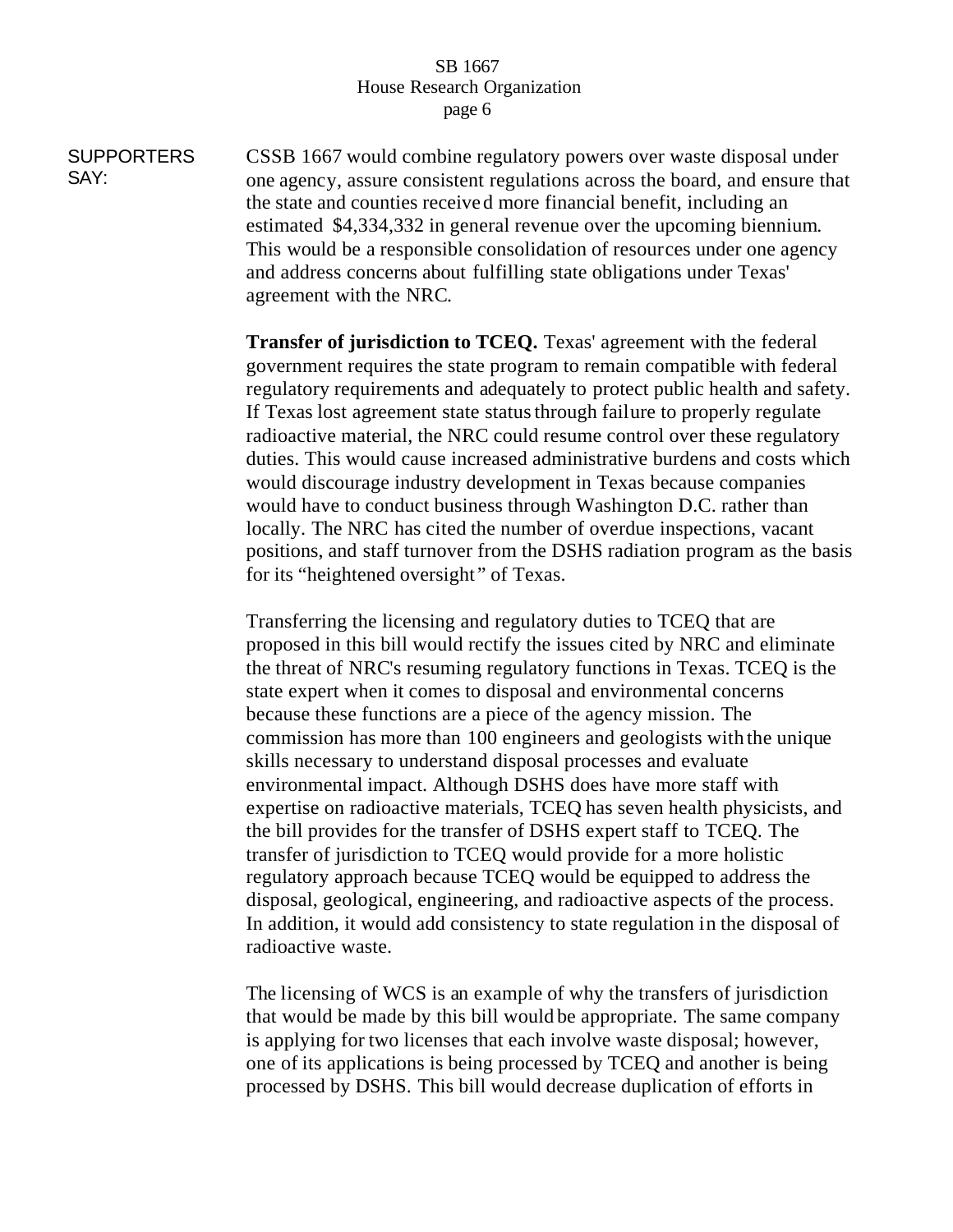**SUPPORTERS** SAY: CSSB 1667 would combine regulatory powers over waste disposal under one agency, assure consistent regulations across the board, and ensure that the state and counties received more financial benefit, including an estimated \$4,334,332 in general revenue over the upcoming biennium. This would be a responsible consolidation of resources under one agency and address concerns about fulfilling state obligations under Texas' agreement with the NRC.

> **Transfer of jurisdiction to TCEQ.** Texas' agreement with the federal government requires the state program to remain compatible with federal regulatory requirements and adequately to protect public health and safety. If Texas lost agreement state status through failure to properly regulate radioactive material, the NRC could resume control over these regulatory duties. This would cause increased administrative burdens and costs which would discourage industry development in Texas because companies would have to conduct business through Washington D.C. rather than locally. The NRC has cited the number of overdue inspections, vacant positions, and staff turnover from the DSHS radiation program as the basis for its "heightened oversight " of Texas.

Transferring the licensing and regulatory duties to TCEQ that are proposed in this bill would rectify the issues cited by NRC and eliminate the threat of NRC's resuming regulatory functions in Texas. TCEQ is the state expert when it comes to disposal and environmental concerns because these functions are a piece of the agency mission. The commission has more than 100 engineers and geologists with the unique skills necessary to understand disposal processes and evaluate environmental impact. Although DSHS does have more staff with expertise on radioactive materials, TCEQ has seven health physicists, and the bill provides for the transfer of DSHS expert staff to TCEQ. The transfer of jurisdiction to TCEQ would provide for a more holistic regulatory approach because TCEQ would be equipped to address the disposal, geological, engineering, and radioactive aspects of the process. In addition, it would add consistency to state regulation in the disposal of radioactive waste.

The licensing of WCS is an example of why the transfers of jurisdiction that would be made by this bill would be appropriate. The same company is applying for two licenses that each involve waste disposal; however, one of its applications is being processed by TCEQ and another is being processed by DSHS. This bill would decrease duplication of efforts in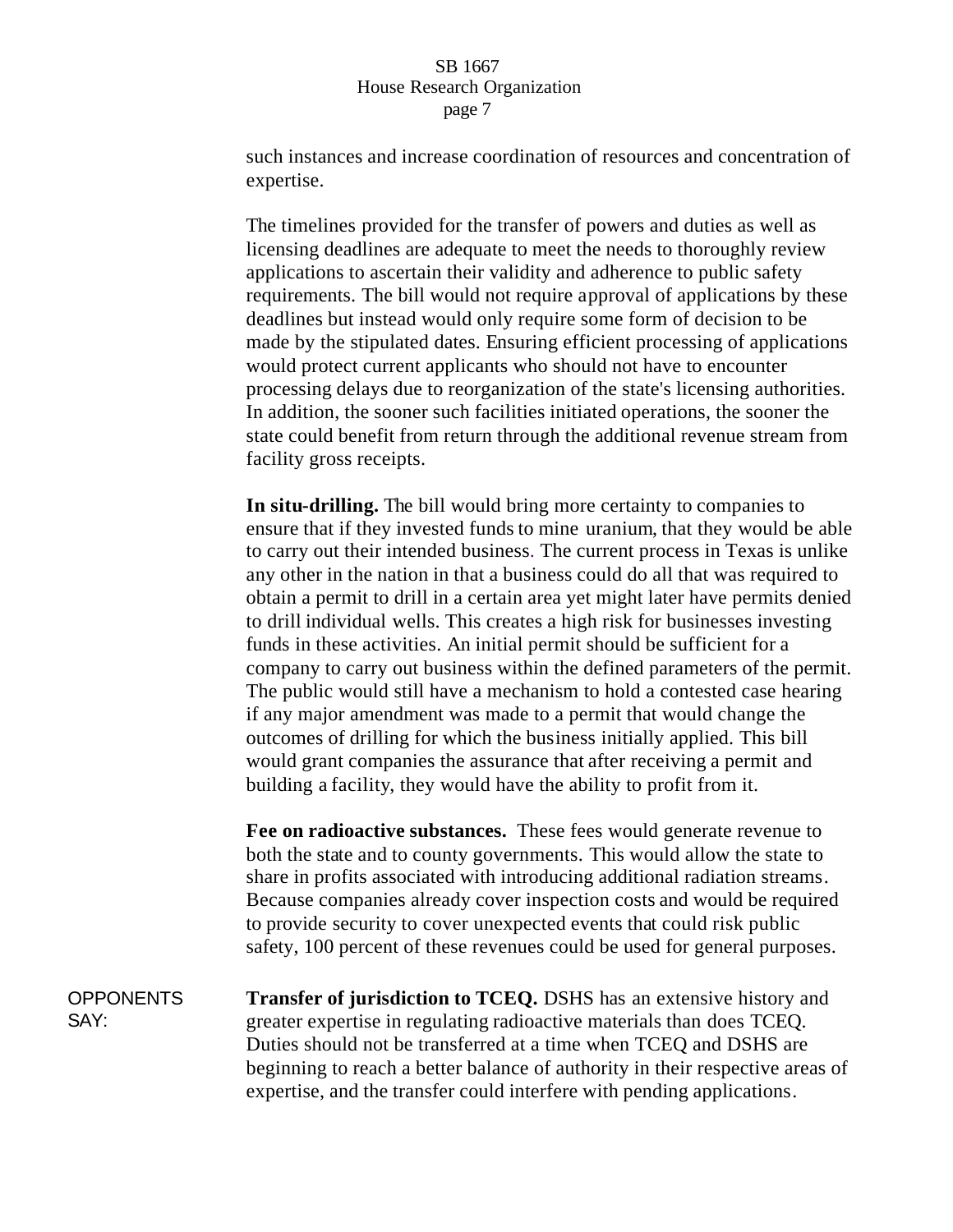such instances and increase coordination of resources and concentration of expertise.

The timelines provided for the transfer of powers and duties as well as licensing deadlines are adequate to meet the needs to thoroughly review applications to ascertain their validity and adherence to public safety requirements. The bill would not require approval of applications by these deadlines but instead would only require some form of decision to be made by the stipulated dates. Ensuring efficient processing of applications would protect current applicants who should not have to encounter processing delays due to reorganization of the state's licensing authorities. In addition, the sooner such facilities initiated operations, the sooner the state could benefit from return through the additional revenue stream from facility gross receipts.

**In situ-drilling.** The bill would bring more certainty to companies to ensure that if they invested funds to mine uranium, that they would be able to carry out their intended business. The current process in Texas is unlike any other in the nation in that a business could do all that was required to obtain a permit to drill in a certain area yet might later have permits denied to drill individual wells. This creates a high risk for businesses investing funds in these activities. An initial permit should be sufficient for a company to carry out business within the defined parameters of the permit. The public would still have a mechanism to hold a contested case hearing if any major amendment was made to a permit that would change the outcomes of drilling for which the business initially applied. This bill would grant companies the assurance that after receiving a permit and building a facility, they would have the ability to profit from it.

**Fee on radioactive substances.** These fees would generate revenue to both the state and to county governments. This would allow the state to share in profits associated with introducing additional radiation streams. Because companies already cover inspection costs and would be required to provide security to cover unexpected events that could risk public safety, 100 percent of these revenues could be used for general purposes.

**OPPONENTS** SAY: **Transfer of jurisdiction to TCEQ.** DSHS has an extensive history and greater expertise in regulating radioactive materials than does TCEQ. Duties should not be transferred at a time when TCEQ and DSHS are beginning to reach a better balance of authority in their respective areas of expertise, and the transfer could interfere with pending applications.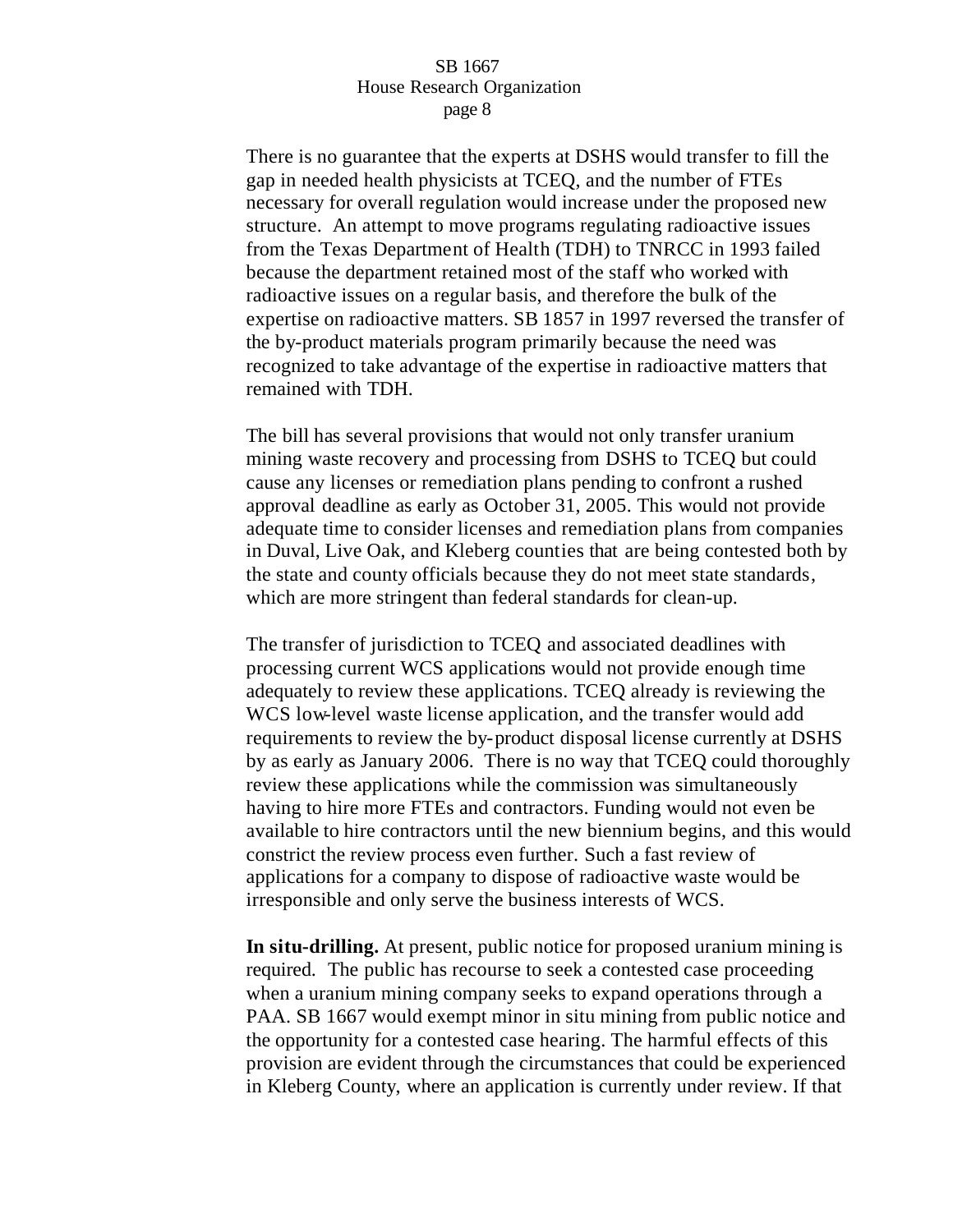There is no guarantee that the experts at DSHS would transfer to fill the gap in needed health physicists at TCEQ, and the number of FTEs necessary for overall regulation would increase under the proposed new structure. An attempt to move programs regulating radioactive issues from the Texas Department of Health (TDH) to TNRCC in 1993 failed because the department retained most of the staff who worked with radioactive issues on a regular basis, and therefore the bulk of the expertise on radioactive matters. SB 1857 in 1997 reversed the transfer of the by-product materials program primarily because the need was recognized to take advantage of the expertise in radioactive matters that remained with TDH.

The bill has several provisions that would not only transfer uranium mining waste recovery and processing from DSHS to TCEQ but could cause any licenses or remediation plans pending to confront a rushed approval deadline as early as October 31, 2005. This would not provide adequate time to consider licenses and remediation plans from companies in Duval, Live Oak, and Kleberg counties that are being contested both by the state and county officials because they do not meet state standards, which are more stringent than federal standards for clean-up.

The transfer of jurisdiction to TCEQ and associated deadlines with processing current WCS applications would not provide enough time adequately to review these applications. TCEQ already is reviewing the WCS low-level waste license application, and the transfer would add requirements to review the by-product disposal license currently at DSHS by as early as January 2006. There is no way that TCEQ could thoroughly review these applications while the commission was simultaneously having to hire more FTEs and contractors. Funding would not even be available to hire contractors until the new biennium begins, and this would constrict the review process even further. Such a fast review of applications for a company to dispose of radioactive waste would be irresponsible and only serve the business interests of WCS.

**In situ-drilling.** At present, public notice for proposed uranium mining is required. The public has recourse to seek a contested case proceeding when a uranium mining company seeks to expand operations through a PAA. SB 1667 would exempt minor in situ mining from public notice and the opportunity for a contested case hearing. The harmful effects of this provision are evident through the circumstances that could be experienced in Kleberg County, where an application is currently under review. If that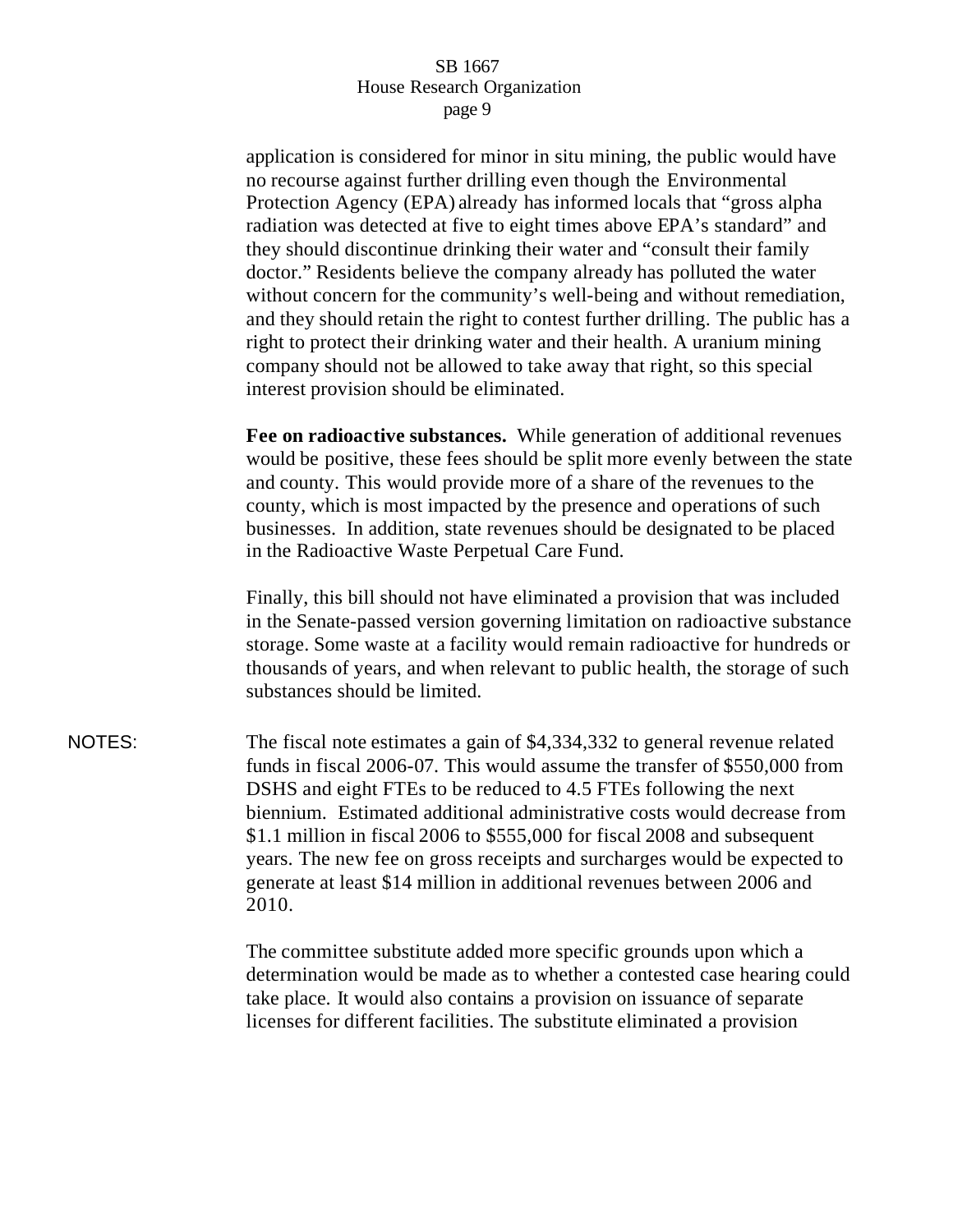application is considered for minor in situ mining, the public would have no recourse against further drilling even though the Environmental Protection Agency (EPA) already has informed locals that "gross alpha radiation was detected at five to eight times above EPA's standard" and they should discontinue drinking their water and "consult their family doctor." Residents believe the company already has polluted the water without concern for the community's well-being and without remediation, and they should retain the right to contest further drilling. The public has a right to protect their drinking water and their health. A uranium mining company should not be allowed to take away that right, so this special interest provision should be eliminated.

**Fee on radioactive substances.** While generation of additional revenues would be positive, these fees should be split more evenly between the state and county. This would provide more of a share of the revenues to the county, which is most impacted by the presence and operations of such businesses. In addition, state revenues should be designated to be placed in the Radioactive Waste Perpetual Care Fund.

Finally, this bill should not have eliminated a provision that was included in the Senate-passed version governing limitation on radioactive substance storage. Some waste at a facility would remain radioactive for hundreds or thousands of years, and when relevant to public health, the storage of such substances should be limited.

NOTES: The fiscal note estimates a gain of \$4,334,332 to general revenue related funds in fiscal 2006-07. This would assume the transfer of \$550,000 from DSHS and eight FTEs to be reduced to 4.5 FTEs following the next biennium. Estimated additional administrative costs would decrease from \$1.1 million in fiscal 2006 to \$555,000 for fiscal 2008 and subsequent years. The new fee on gross receipts and surcharges would be expected to generate at least \$14 million in additional revenues between 2006 and 2010.

> The committee substitute added more specific grounds upon which a determination would be made as to whether a contested case hearing could take place. It would also contains a provision on issuance of separate licenses for different facilities. The substitute eliminated a provision